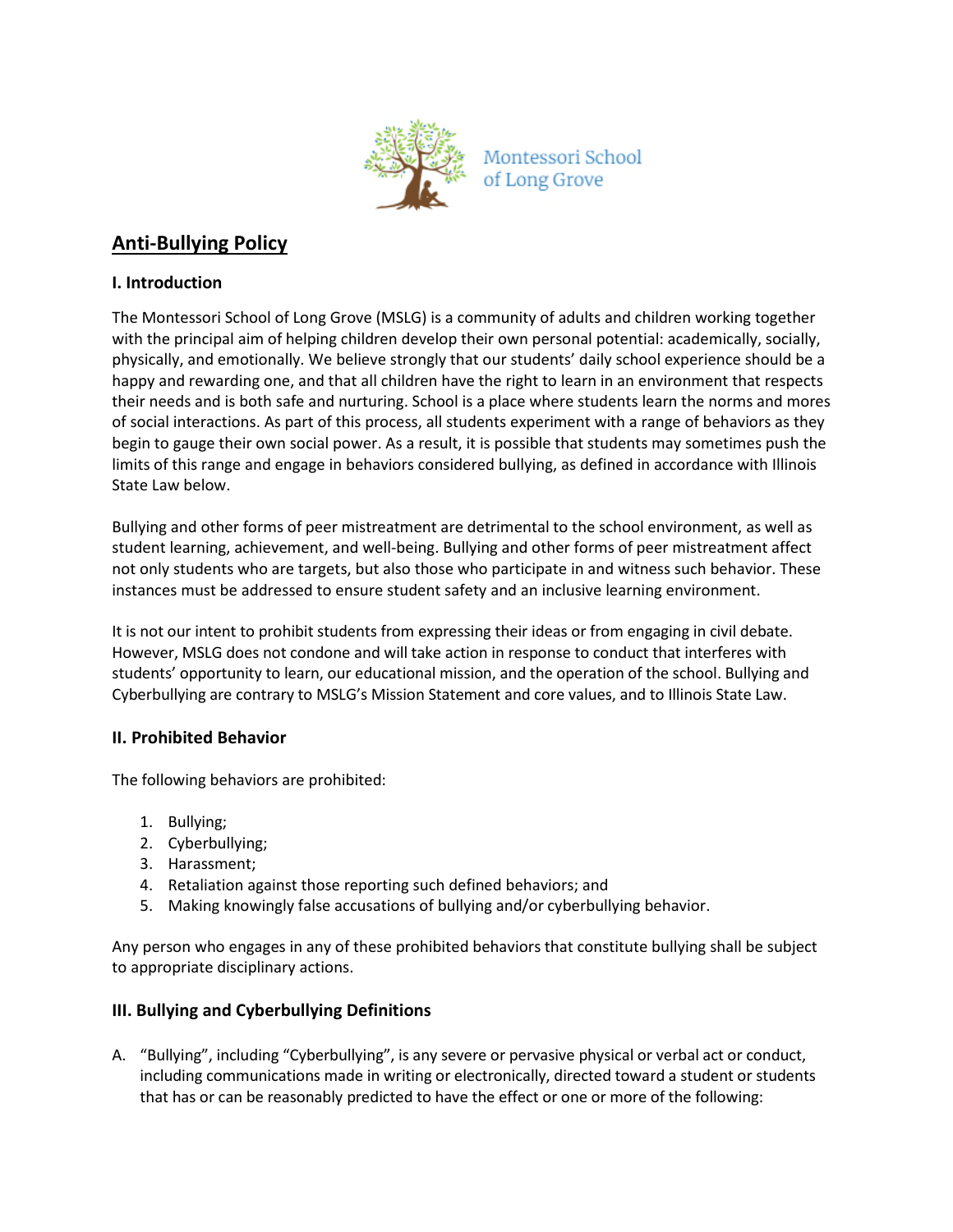

# **Anti-Bullying Policy**

#### **I. Introduction**

The Montessori School of Long Grove (MSLG) is a community of adults and children working together with the principal aim of helping children develop their own personal potential: academically, socially, physically, and emotionally. We believe strongly that our students' daily school experience should be a happy and rewarding one, and that all children have the right to learn in an environment that respects their needs and is both safe and nurturing. School is a place where students learn the norms and mores of social interactions. As part of this process, all students experiment with a range of behaviors as they begin to gauge their own social power. As a result, it is possible that students may sometimes push the limits of this range and engage in behaviors considered bullying, as defined in accordance with Illinois State Law below.

Bullying and other forms of peer mistreatment are detrimental to the school environment, as well as student learning, achievement, and well-being. Bullying and other forms of peer mistreatment affect not only students who are targets, but also those who participate in and witness such behavior. These instances must be addressed to ensure student safety and an inclusive learning environment.

It is not our intent to prohibit students from expressing their ideas or from engaging in civil debate. However, MSLG does not condone and will take action in response to conduct that interferes with students' opportunity to learn, our educational mission, and the operation of the school. Bullying and Cyberbullying are contrary to MSLG's Mission Statement and core values, and to Illinois State Law.

#### **II. Prohibited Behavior**

The following behaviors are prohibited:

- 1. Bullying;
- 2. Cyberbullying;
- 3. Harassment;
- 4. Retaliation against those reporting such defined behaviors; and
- 5. Making knowingly false accusations of bullying and/or cyberbullying behavior.

Any person who engages in any of these prohibited behaviors that constitute bullying shall be subject to appropriate disciplinary actions.

## **III. Bullying and Cyberbullying Definitions**

A. "Bullying", including "Cyberbullying", is any severe or pervasive physical or verbal act or conduct, including communications made in writing or electronically, directed toward a student or students that has or can be reasonably predicted to have the effect or one or more of the following: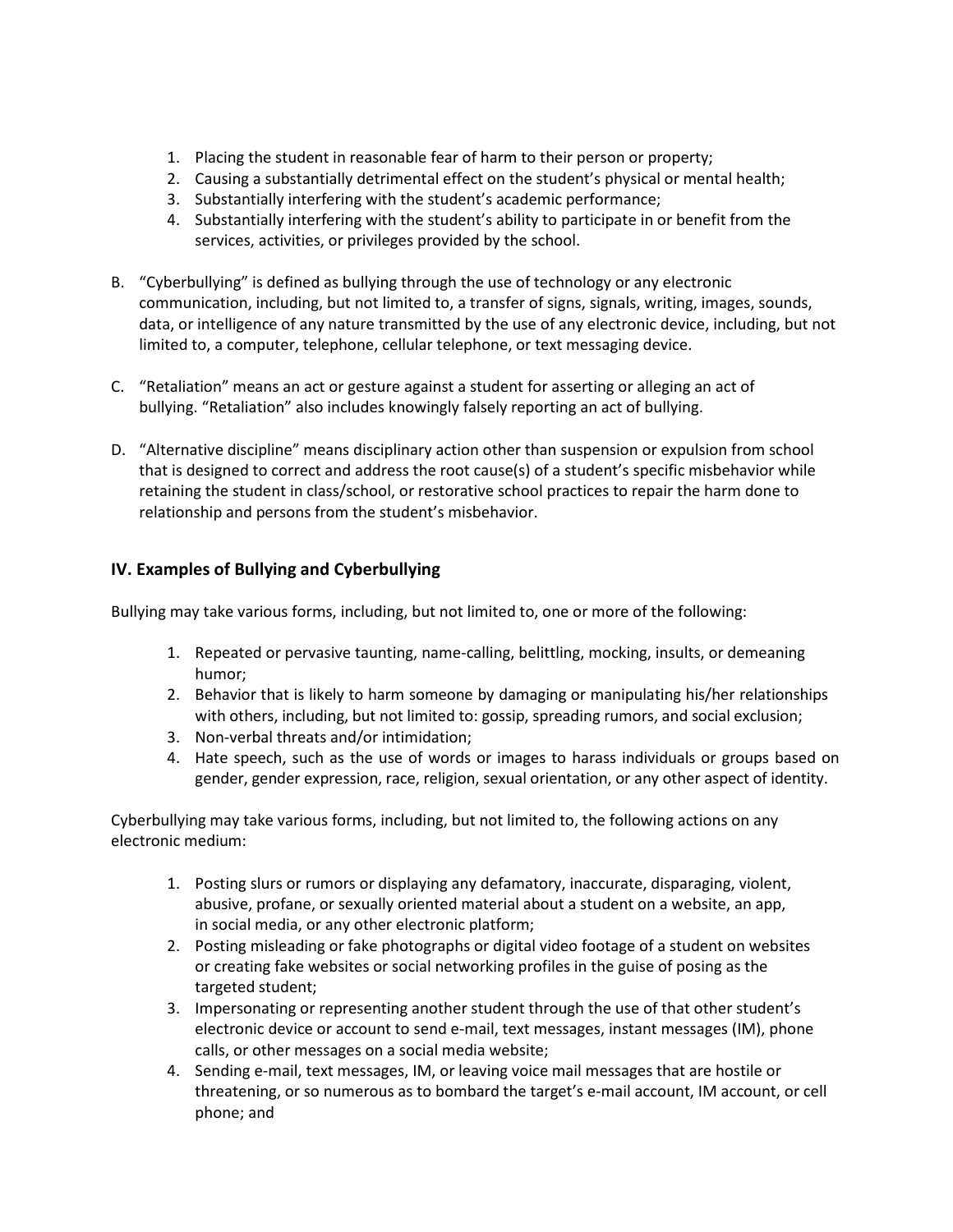- 1. Placing the student in reasonable fear of harm to their person or property;
- 2. Causing a substantially detrimental effect on the student's physical or mental health;
- 3. Substantially interfering with the student's academic performance;
- 4. Substantially interfering with the student's ability to participate in or benefit from the services, activities, or privileges provided by the school.
- B. "Cyberbullying" is defined as bullying through the use of technology or any electronic communication, including, but not limited to, a transfer of signs, signals, writing, images, sounds, data, or intelligence of any nature transmitted by the use of any electronic device, including, but not limited to, a computer, telephone, cellular telephone, or text messaging device.
- C. "Retaliation" means an act or gesture against a student for asserting or alleging an act of bullying. "Retaliation" also includes knowingly falsely reporting an act of bullying.
- D. "Alternative discipline" means disciplinary action other than suspension or expulsion from school that is designed to correct and address the root cause(s) of a student's specific misbehavior while retaining the student in class/school, or restorative school practices to repair the harm done to relationship and persons from the student's misbehavior.

## **IV. Examples of Bullying and Cyberbullying**

Bullying may take various forms, including, but not limited to, one or more of the following:

- 1. Repeated or pervasive taunting, name-calling, belittling, mocking, insults, or demeaning humor;
- 2. Behavior that is likely to harm someone by damaging or manipulating his/her relationships with others, including, but not limited to: gossip, spreading rumors, and social exclusion;
- 3. Non-verbal threats and/or intimidation;
- 4. Hate speech, such as the use of words or images to harass individuals or groups based on gender, gender expression, race, religion, sexual orientation, or any other aspect of identity.

Cyberbullying may take various forms, including, but not limited to, the following actions on any electronic medium:

- 1. Posting slurs or rumors or displaying any defamatory, inaccurate, disparaging, violent, abusive, profane, or sexually oriented material about a student on a website, an app, in social media, or any other electronic platform;
- 2. Posting misleading or fake photographs or digital video footage of a student on websites or creating fake websites or social networking profiles in the guise of posing as the targeted student;
- 3. Impersonating or representing another student through the use of that other student's electronic device or account to send e-mail, text messages, instant messages (IM), phone calls, or other messages on a social media website;
- 4. Sending e-mail, text messages, IM, or leaving voice mail messages that are hostile or threatening, or so numerous as to bombard the target's e-mail account, IM account, or cell phone; and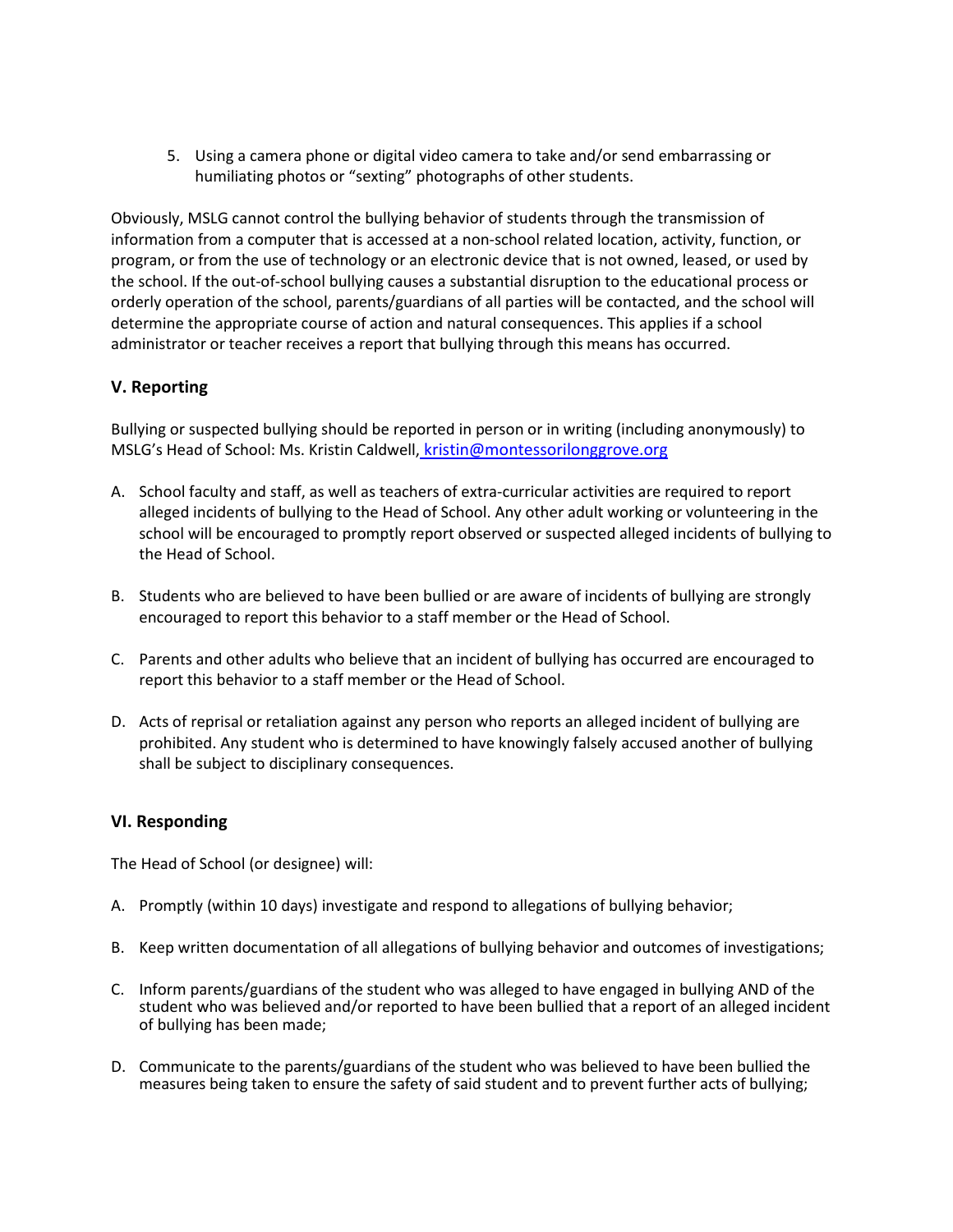5. Using a camera phone or digital video camera to take and/or send embarrassing or humiliating photos or "sexting" photographs of other students.

Obviously, MSLG cannot control the bullying behavior of students through the transmission of information from a computer that is accessed at a non-school related location, activity, function, or program, or from the use of technology or an electronic device that is not owned, leased, or used by the school. If the out-of-school bullying causes a substantial disruption to the educational process or orderly operation of the school, parents/guardians of all parties will be contacted, and the school will determine the appropriate course of action and natural consequences. This applies if a school administrator or teacher receives a report that bullying through this means has occurred.

## **V. Reporting**

[Bullying or suspected bullying should be reported in person or in writing \(including anonymously\) to](mailto:kristin@montessorilonggrove.org)  MSLG's Head of School: Ms. Kristin Caldwell, [kristin@montessorilonggrove.org](mailto:kristin@montessorilonggrove.org)

- A. School faculty and staff, as well as teachers of extra-curricular activities are required to report alleged incidents of bullying to the Head of School. Any other adult working or volunteering in the school will be encouraged to promptly report observed or suspected alleged incidents of bullying to the Head of School.
- B. Students who are believed to have been bullied or are aware of incidents of bullying are strongly encouraged to report this behavior to a staff member or the Head of School.
- C. Parents and other adults who believe that an incident of bullying has occurred are encouraged to report this behavior to a staff member or the Head of School.
- D. Acts of reprisal or retaliation against any person who reports an alleged incident of bullying are prohibited. Any student who is determined to have knowingly falsely accused another of bullying shall be subject to disciplinary consequences.

#### **VI. Responding**

The Head of School (or designee) will:

- A. Promptly (within 10 days) investigate and respond to allegations of bullying behavior;
- B. Keep written documentation of all allegations of bullying behavior and outcomes of investigations;
- C. Inform parents/guardians of the student who was alleged to have engaged in bullying AND of the student who was believed and/or reported to have been bullied that a report of an alleged incident of bullying has been made;
- D. Communicate to the parents/guardians of the student who was believed to have been bullied the measures being taken to ensure the safety of said student and to prevent further acts of bullying;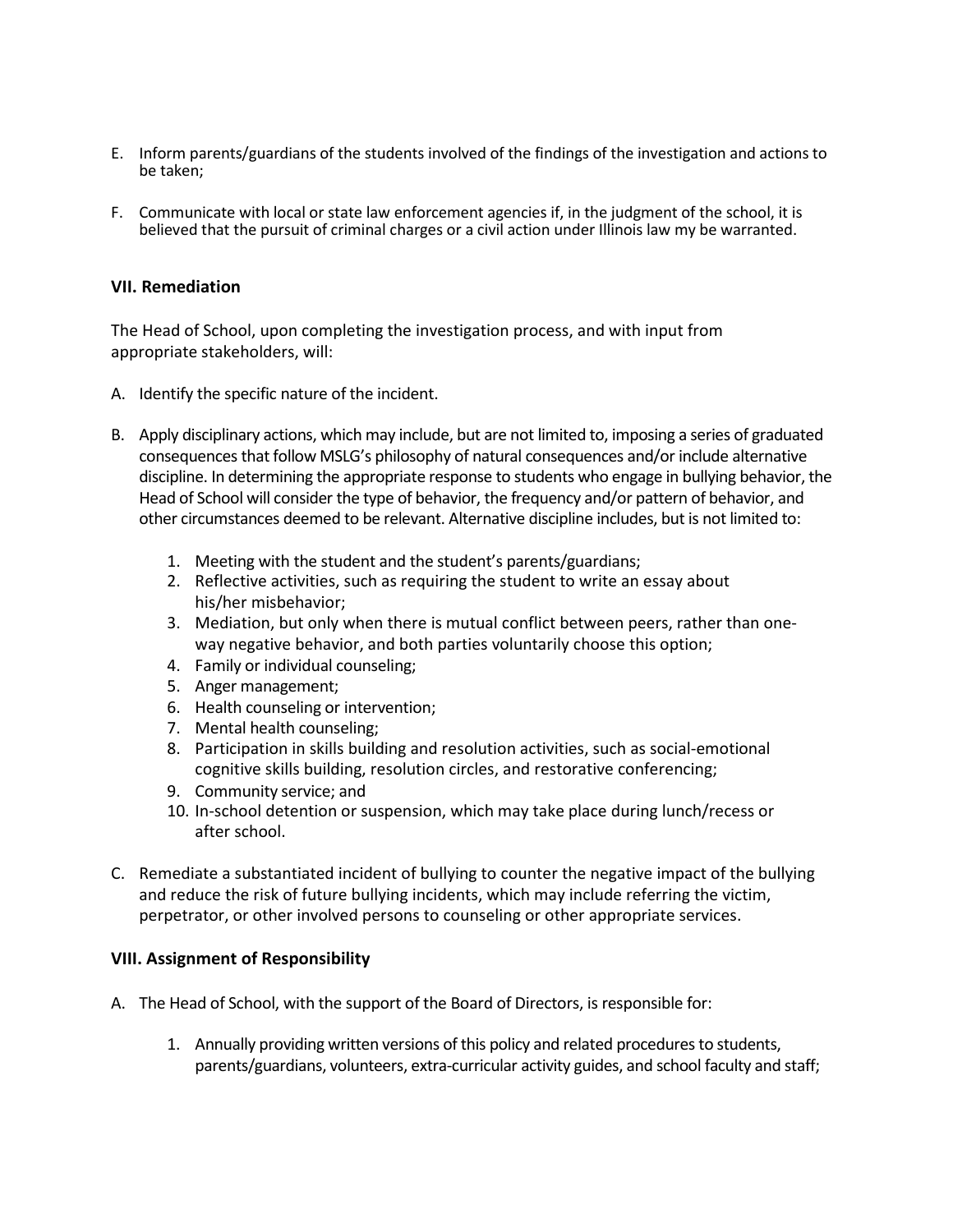- E. Inform parents/guardians of the students involved of the findings of the investigation and actions to be taken;
- F. Communicate with local or state law enforcement agencies if, in the judgment of the school, it is believed that the pursuit of criminal charges or a civil action under Illinois law my be warranted.

#### **VII. Remediation**

The Head of School, upon completing the investigation process, and with input from appropriate stakeholders, will:

- A. Identify the specific nature of the incident.
- B. Apply disciplinary actions, which may include, but are not limited to, imposing a series of graduated consequences that follow MSLG's philosophy of natural consequences and/or include alternative discipline. In determining the appropriate response to students who engage in bullying behavior, the Head of School will consider the type of behavior, the frequency and/or pattern of behavior, and other circumstances deemed to be relevant. Alternative discipline includes, but is not limited to:
	- 1. Meeting with the student and the student's parents/guardians;
	- 2. Reflective activities, such as requiring the student to write an essay about his/her misbehavior;
	- 3. Mediation, but only when there is mutual conflict between peers, rather than oneway negative behavior, and both parties voluntarily choose this option;
	- 4. Family or individual counseling;
	- 5. Anger management;
	- 6. Health counseling or intervention;
	- 7. Mental health counseling;
	- 8. Participation in skills building and resolution activities, such as social-emotional cognitive skills building, resolution circles, and restorative conferencing;
	- 9. Community service; and
	- 10. In-school detention or suspension, which may take place during lunch/recess or after school.
- C. Remediate a substantiated incident of bullying to counter the negative impact of the bullying and reduce the risk of future bullying incidents, which may include referring the victim, perpetrator, or other involved persons to counseling or other appropriate services.

## **VIII. Assignment of Responsibility**

- A. The Head of School, with the support of the Board of Directors, is responsible for:
	- 1. Annually providing written versions of this policy and related procedures to students, parents/guardians, volunteers, extra-curricular activity guides, and school faculty and staff;